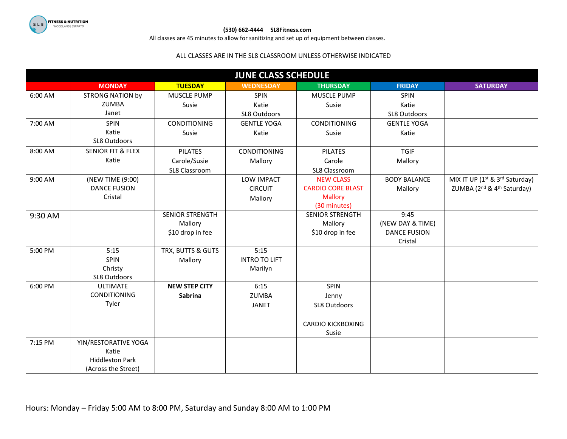

## **(530) 662-4444 SL8Fitness.com**

All classes are 45 minutes to allow for sanitizing and set up of equipment between classes.

## ALL CLASSES ARE IN THE SL8 CLASSROOM UNLESS OTHERWISE INDICATED

| <b>JUNE CLASS SCHEDULE</b> |                                 |                        |                      |                          |                     |                                                        |
|----------------------------|---------------------------------|------------------------|----------------------|--------------------------|---------------------|--------------------------------------------------------|
|                            | <b>MONDAY</b>                   | <b>TUESDAY</b>         | <b>WEDNESDAY</b>     | <b>THURSDAY</b>          | <b>FRIDAY</b>       | <b>SATURDAY</b>                                        |
| 6:00 AM                    | <b>STRONG NATION by</b>         | MUSCLE PUMP            | <b>SPIN</b>          | MUSCLE PUMP              | <b>SPIN</b>         |                                                        |
|                            | ZUMBA                           | Susie                  | Katie                | Susie                    | Katie               |                                                        |
|                            | Janet                           |                        | SL8 Outdoors         |                          | SL8 Outdoors        |                                                        |
| 7:00 AM                    | <b>SPIN</b>                     | <b>CONDITIONING</b>    | <b>GENTLE YOGA</b>   | <b>CONDITIONING</b>      | <b>GENTLE YOGA</b>  |                                                        |
|                            | Katie                           | Susie                  | Katie                | Susie                    | Katie               |                                                        |
|                            | SL8 Outdoors                    |                        |                      |                          |                     |                                                        |
| 8:00 AM                    | <b>SENIOR FIT &amp; FLEX</b>    | <b>PILATES</b>         | <b>CONDITIONING</b>  | <b>PILATES</b>           | <b>TGIF</b>         |                                                        |
|                            | Katie                           | Carole/Susie           | Mallory              | Carole                   | Mallory             |                                                        |
|                            |                                 | SL8 Classroom          |                      | SL8 Classroom            |                     |                                                        |
| 9:00 AM                    | (NEW TIME (9:00)                |                        | <b>LOW IMPACT</b>    | <b>NEW CLASS</b>         | <b>BODY BALANCE</b> | MIX IT UP (1 <sup>st</sup> & 3 <sup>rd</sup> Saturday) |
|                            | <b>DANCE FUSION</b>             |                        | <b>CIRCUIT</b>       | <b>CARDIO CORE BLAST</b> | Mallory             | ZUMBA (2 <sup>nd</sup> & 4 <sup>th</sup> Saturday)     |
|                            | Cristal                         |                        | Mallory              | <b>Mallory</b>           |                     |                                                        |
|                            |                                 |                        |                      | (30 minutes)             |                     |                                                        |
| 9:30 AM                    |                                 | <b>SENIOR STRENGTH</b> |                      | <b>SENIOR STRENGTH</b>   | 9:45                |                                                        |
|                            |                                 | Mallory                |                      | Mallory                  | (NEW DAY & TIME)    |                                                        |
|                            |                                 | \$10 drop in fee       |                      | \$10 drop in fee         | <b>DANCE FUSION</b> |                                                        |
|                            |                                 |                        |                      |                          | Cristal             |                                                        |
| 5:00 PM                    | 5:15                            | TRX, BUTTS & GUTS      | 5:15                 |                          |                     |                                                        |
|                            | SPIN                            | Mallory                | <b>INTRO TO LIFT</b> |                          |                     |                                                        |
|                            | Christy<br>SL8 Outdoors         |                        | Marilyn              |                          |                     |                                                        |
| 6:00 PM                    | <b>ULTIMATE</b>                 | <b>NEW STEP CITY</b>   | 6:15                 | <b>SPIN</b>              |                     |                                                        |
|                            | <b>CONDITIONING</b>             | <b>Sabrina</b>         | <b>ZUMBA</b>         | Jenny                    |                     |                                                        |
|                            | Tyler                           |                        | <b>JANET</b>         | SL8 Outdoors             |                     |                                                        |
|                            |                                 |                        |                      |                          |                     |                                                        |
|                            |                                 |                        |                      |                          |                     |                                                        |
|                            |                                 |                        |                      | <b>CARDIO KICKBOXING</b> |                     |                                                        |
| 7:15 PM                    |                                 |                        |                      | Susie                    |                     |                                                        |
|                            | YIN/RESTORATIVE YOGA            |                        |                      |                          |                     |                                                        |
|                            | Katie<br><b>Hiddleston Park</b> |                        |                      |                          |                     |                                                        |
|                            | (Across the Street)             |                        |                      |                          |                     |                                                        |
|                            |                                 |                        |                      |                          |                     |                                                        |